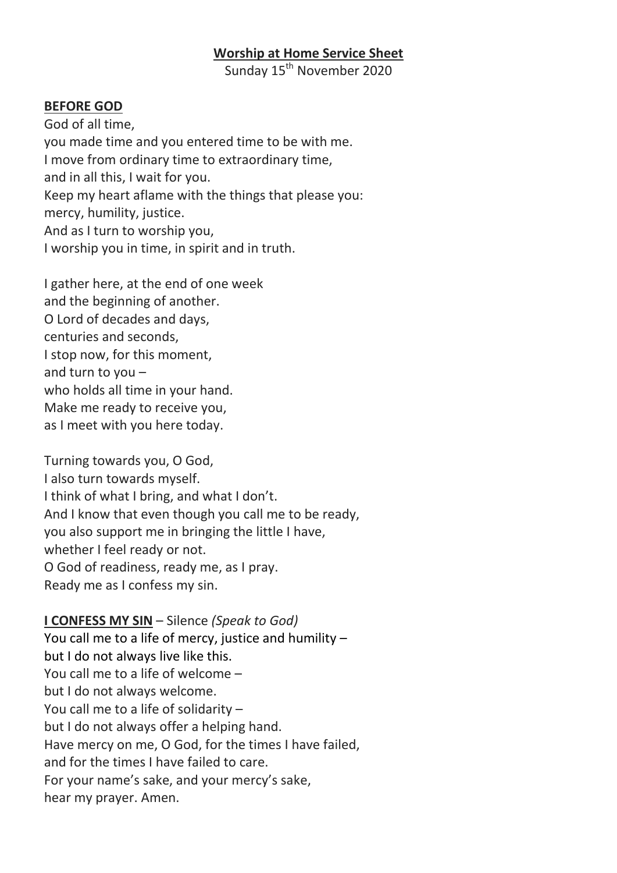#### **Worship at Home Service Sheet**

Sunday 15<sup>th</sup> November 2020

#### **BEFORE GOD**

God of all time, you made time and you entered time to be with me. I move from ordinary time to extraordinary time, and in all this, I wait for you. Keep my heart aflame with the things that please you: mercy, humility, justice. And as I turn to worship you, I worship you in time, in spirit and in truth.

I gather here, at the end of one week and the beginning of another. O Lord of decades and days, centuries and seconds, I stop now, for this moment, and turn to you – who holds all time in your hand. Make me ready to receive you, as I meet with you here today.

Turning towards you, O God, I also turn towards myself. I think of what I bring, and what I don't. And I know that even though you call me to be ready, you also support me in bringing the little I have, whether I feel ready or not. O God of readiness, ready me, as I pray. Ready me as I confess my sin.

**I CONFESS MY SIN** – Silence *(Speak to God)* You call me to a life of mercy, justice and humility – but I do not always live like this. You call me to a life of welcome – but I do not always welcome. You call me to a life of solidarity – but I do not always offer a helping hand. Have mercy on me, O God, for the times I have failed, and for the times I have failed to care. For your name's sake, and your mercy's sake, hear my prayer. Amen.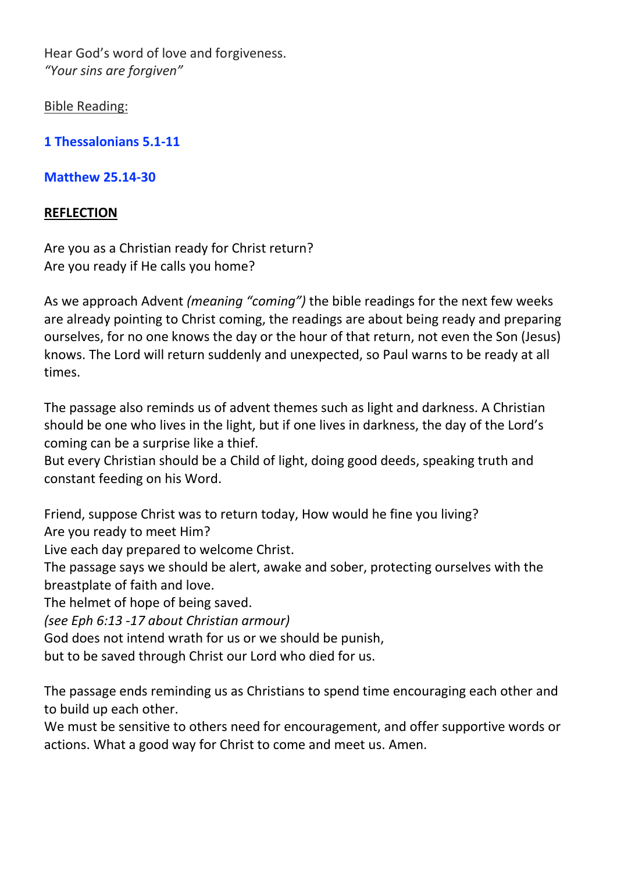Hear God's word of love and forgiveness. *"Your sins are forgiven"*

Bible Reading:

**[1 Thessalonians 5.1-11](https://www.biblegateway.com/passage/?search=1+Thessalonians+5.1-11&version=NIV)**

**[Matthew 25.14-30](https://www.biblegateway.com/passage/?search=Matthew+25.14-30&version=NIV)**

# **REFLECTION**

Are you as a Christian ready for Christ return? Are you ready if He calls you home?

As we approach Advent *(meaning "coming")* the bible readings for the next few weeks are already pointing to Christ coming, the readings are about being ready and preparing ourselves, for no one knows the day or the hour of that return, not even the Son (Jesus) knows. The Lord will return suddenly and unexpected, so Paul warns to be ready at all times.

The passage also reminds us of advent themes such as light and darkness. A Christian should be one who lives in the light, but if one lives in darkness, the day of the Lord's coming can be a surprise like a thief.

But every Christian should be a Child of light, doing good deeds, speaking truth and constant feeding on his Word.

Friend, suppose Christ was to return today, How would he fine you living?

Are you ready to meet Him?

Live each day prepared to welcome Christ.

The passage says we should be alert, awake and sober, protecting ourselves with the breastplate of faith and love.

The helmet of hope of being saved.

*(see Eph 6:13 -17 about Christian armour)*

God does not intend wrath for us or we should be punish,

but to be saved through Christ our Lord who died for us.

The passage ends reminding us as Christians to spend time encouraging each other and to build up each other.

We must be sensitive to others need for encouragement, and offer supportive words or actions. What a good way for Christ to come and meet us. Amen.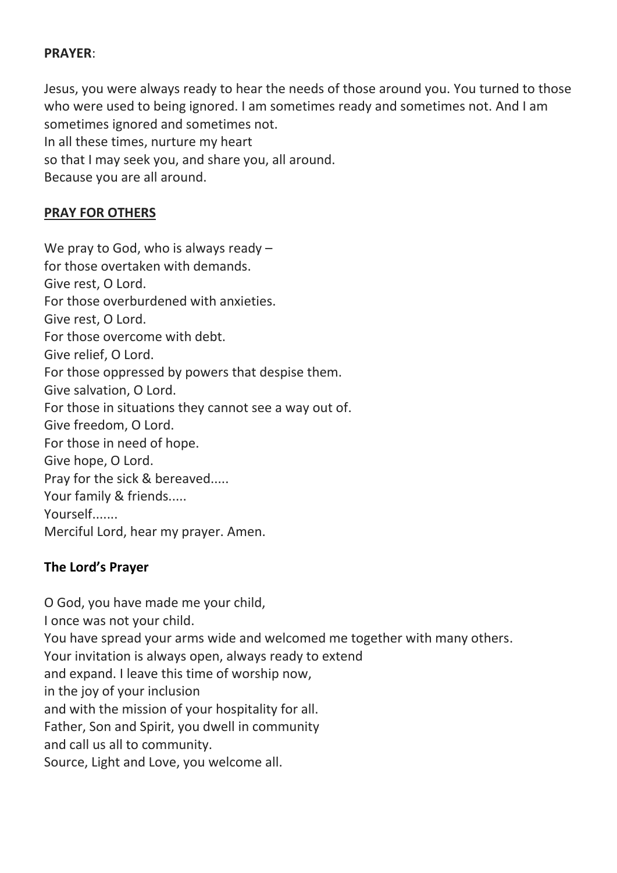### **PRAYER**:

Jesus, you were always ready to hear the needs of those around you. You turned to those who were used to being ignored. I am sometimes ready and sometimes not. And I am sometimes ignored and sometimes not. In all these times, nurture my heart so that I may seek you, and share you, all around. Because you are all around.

### **PRAY FOR OTHERS**

We pray to God, who is always ready for those overtaken with demands. Give rest, O Lord. For those overburdened with anxieties. Give rest, O Lord. For those overcome with debt. Give relief, O Lord. For those oppressed by powers that despise them. Give salvation, O Lord. For those in situations they cannot see a way out of. Give freedom, O Lord. For those in need of hope. Give hope, O Lord. Pray for the sick & bereaved..... Your family & friends..... Yourself....... Merciful Lord, hear my prayer. Amen.

### **The Lord's Prayer**

O God, you have made me your child, I once was not your child. You have spread your arms wide and welcomed me together with many others. Your invitation is always open, always ready to extend and expand. I leave this time of worship now, in the joy of your inclusion and with the mission of your hospitality for all. Father, Son and Spirit, you dwell in community and call us all to community. Source, Light and Love, you welcome all.